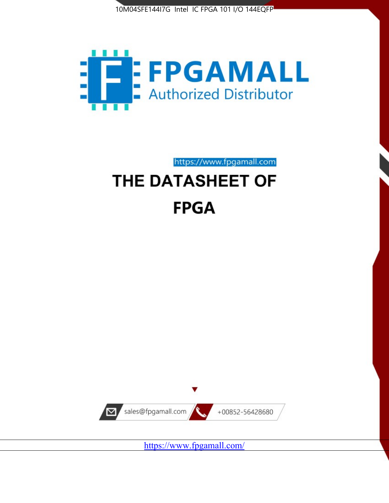



https://www.fpgamall.com THE DATASHEET OF

# **FPGA**



<https://www.fpgamall.com/>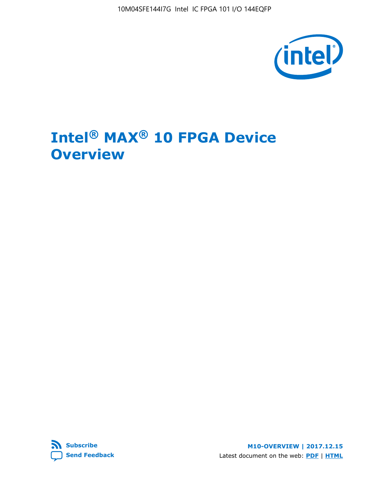10M04SFE144I7G Intel IC FPGA 101 I/O 144EQFP



## **Intel® MAX® 10 FPGA Device Overview**



**M10-OVERVIEW | 2017.12.15** Latest document on the web: **[PDF](https://www.altera.com/en_US/pdfs/literature/hb/max-10/m10_overview.pdf)** | **[HTML](https://www.altera.com/documentation/myt1396938463674.html)**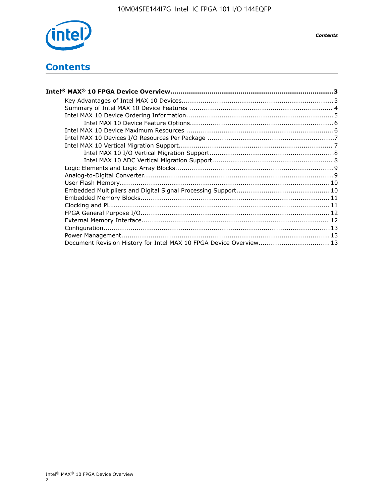

## **Contents**

| Intel® MAX® 10 FPGA Device Overview……………………………………………………………………………3  |  |
|--------------------------------------------------------------------|--|
|                                                                    |  |
|                                                                    |  |
|                                                                    |  |
|                                                                    |  |
|                                                                    |  |
|                                                                    |  |
|                                                                    |  |
|                                                                    |  |
|                                                                    |  |
|                                                                    |  |
|                                                                    |  |
|                                                                    |  |
|                                                                    |  |
|                                                                    |  |
|                                                                    |  |
|                                                                    |  |
|                                                                    |  |
|                                                                    |  |
|                                                                    |  |
| Document Revision History for Intel MAX 10 FPGA Device Overview 13 |  |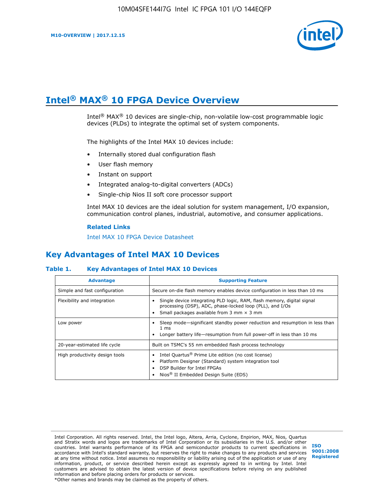

## **Intel® MAX® 10 FPGA Device Overview**

Intel® MAX® 10 devices are single-chip, non-volatile low-cost programmable logic devices (PLDs) to integrate the optimal set of system components.

The highlights of the Intel MAX 10 devices include:

- Internally stored dual configuration flash
- User flash memory
- Instant on support
- Integrated analog-to-digital converters (ADCs)
- Single-chip Nios II soft core processor support

Intel MAX 10 devices are the ideal solution for system management, I/O expansion, communication control planes, industrial, automotive, and consumer applications.

#### **Related Links**

[Intel MAX 10 FPGA Device Datasheet](https://www.altera.com/documentation/mcn1397700832153.html#mcn1397643748870)

## **Key Advantages of Intel MAX 10 Devices**

#### **Table 1. Key Advantages of Intel MAX 10 Devices**

| <b>Advantage</b>               | <b>Supporting Feature</b>                                                                                                                                                                                  |  |  |  |  |
|--------------------------------|------------------------------------------------------------------------------------------------------------------------------------------------------------------------------------------------------------|--|--|--|--|
| Simple and fast configuration  | Secure on-die flash memory enables device configuration in less than 10 ms                                                                                                                                 |  |  |  |  |
| Flexibility and integration    | Single device integrating PLD logic, RAM, flash memory, digital signal<br>processing (DSP), ADC, phase-locked loop (PLL), and I/Os<br>Small packages available from 3 mm $\times$ 3 mm                     |  |  |  |  |
| Low power                      | Sleep mode—significant standby power reduction and resumption in less than<br>$1 \text{ ms}$<br>Longer battery life—resumption from full power-off in less than 10 ms                                      |  |  |  |  |
| 20-year-estimated life cycle   | Built on TSMC's 55 nm embedded flash process technology                                                                                                                                                    |  |  |  |  |
| High productivity design tools | Intel Quartus <sup>®</sup> Prime Lite edition (no cost license)<br>Platform Designer (Standard) system integration tool<br>DSP Builder for Intel FPGAs<br>Nios <sup>®</sup> II Embedded Design Suite (EDS) |  |  |  |  |

Intel Corporation. All rights reserved. Intel, the Intel logo, Altera, Arria, Cyclone, Enpirion, MAX, Nios, Quartus and Stratix words and logos are trademarks of Intel Corporation or its subsidiaries in the U.S. and/or other countries. Intel warrants performance of its FPGA and semiconductor products to current specifications in accordance with Intel's standard warranty, but reserves the right to make changes to any products and services at any time without notice. Intel assumes no responsibility or liability arising out of the application or use of any information, product, or service described herein except as expressly agreed to in writing by Intel. Intel customers are advised to obtain the latest version of device specifications before relying on any published information and before placing orders for products or services. \*Other names and brands may be claimed as the property of others.

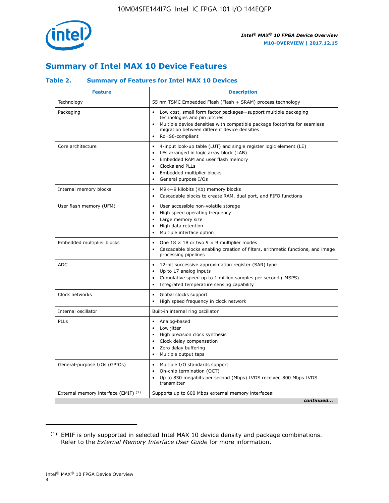

## **Summary of Intel MAX 10 Device Features**

#### **Table 2. Summary of Features for Intel MAX 10 Devices**

| <b>Feature</b>                       | <b>Description</b>                                                                                                                                                                                                                                                                            |
|--------------------------------------|-----------------------------------------------------------------------------------------------------------------------------------------------------------------------------------------------------------------------------------------------------------------------------------------------|
| Technology                           | 55 nm TSMC Embedded Flash (Flash + SRAM) process technology                                                                                                                                                                                                                                   |
| Packaging                            | Low cost, small form factor packages-support multiple packaging<br>technologies and pin pitches<br>Multiple device densities with compatible package footprints for seamless<br>migration between different device densities<br>RoHS6-compliant                                               |
| Core architecture                    | 4-input look-up table (LUT) and single register logic element (LE)<br>$\bullet$<br>LEs arranged in logic array block (LAB)<br>$\bullet$<br>Embedded RAM and user flash memory<br>$\bullet$<br>Clocks and PLLs<br>$\bullet$<br>Embedded multiplier blocks<br>General purpose I/Os<br>$\bullet$ |
| Internal memory blocks               | M9K-9 kilobits (Kb) memory blocks<br>$\bullet$<br>Cascadable blocks to create RAM, dual port, and FIFO functions<br>$\bullet$                                                                                                                                                                 |
| User flash memory (UFM)              | User accessible non-volatile storage<br>$\bullet$<br>High speed operating frequency<br>$\bullet$<br>Large memory size<br>$\bullet$<br>High data retention<br>$\bullet$<br>Multiple interface option                                                                                           |
| Embedded multiplier blocks           | One $18 \times 18$ or two 9 $\times$ 9 multiplier modes<br>$\bullet$<br>Cascadable blocks enabling creation of filters, arithmetic functions, and image<br>processing pipelines                                                                                                               |
| <b>ADC</b>                           | 12-bit successive approximation register (SAR) type<br>$\bullet$<br>Up to 17 analog inputs<br>$\bullet$<br>Cumulative speed up to 1 million samples per second (MSPS)<br>Integrated temperature sensing capability                                                                            |
| Clock networks                       | Global clocks support<br>$\bullet$<br>High speed frequency in clock network                                                                                                                                                                                                                   |
| Internal oscillator                  | Built-in internal ring oscillator                                                                                                                                                                                                                                                             |
| PLLs                                 | Analog-based<br>Low jitter<br>$\bullet$<br>High precision clock synthesis<br>$\bullet$<br>Clock delay compensation<br>$\bullet$<br>Zero delay buffering<br>$\bullet$<br>Multiple output taps<br>$\bullet$                                                                                     |
| General-purpose I/Os (GPIOs)         | • Multiple I/O standards support<br>On-chip termination (OCT)<br>$\bullet$<br>Up to 830 megabits per second (Mbps) LVDS receiver, 800 Mbps LVDS<br>transmitter                                                                                                                                |
| External memory interface (EMIF) (1) | Supports up to 600 Mbps external memory interfaces:<br>continued                                                                                                                                                                                                                              |

<sup>(1)</sup> EMIF is only supported in selected Intel MAX 10 device density and package combinations. Refer to the *External Memory Interface User Guide* for more information.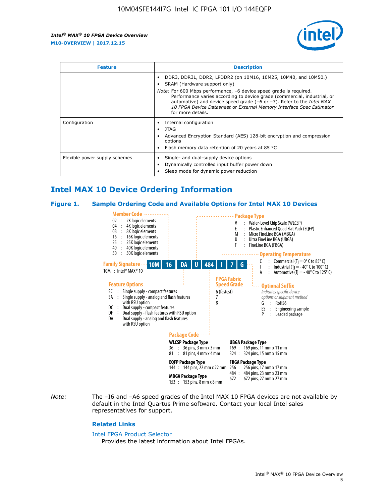

| <b>Feature</b>                | <b>Description</b>                                                                                                                                                                                                                                                                                                                             |  |  |  |
|-------------------------------|------------------------------------------------------------------------------------------------------------------------------------------------------------------------------------------------------------------------------------------------------------------------------------------------------------------------------------------------|--|--|--|
|                               | DDR3, DDR3L, DDR2, LPDDR2 (on 10M16, 10M25, 10M40, and 10M50.)<br>SRAM (Hardware support only)                                                                                                                                                                                                                                                 |  |  |  |
|                               | <i>Note:</i> For 600 Mbps performance, -6 device speed grade is required.<br>Performance varies according to device grade (commercial, industrial, or<br>automotive) and device speed grade $(-6 \text{ or } -7)$ . Refer to the <i>Intel MAX</i><br>10 FPGA Device Datasheet or External Memory Interface Spec Estimator<br>for more details. |  |  |  |
| Configuration                 | Internal configuration                                                                                                                                                                                                                                                                                                                         |  |  |  |
|                               | JTAG<br>٠                                                                                                                                                                                                                                                                                                                                      |  |  |  |
|                               | Advanced Encryption Standard (AES) 128-bit encryption and compression<br>options                                                                                                                                                                                                                                                               |  |  |  |
|                               | Flash memory data retention of 20 years at 85 $^{\circ}$ C                                                                                                                                                                                                                                                                                     |  |  |  |
| Flexible power supply schemes | Single- and dual-supply device options                                                                                                                                                                                                                                                                                                         |  |  |  |
|                               | Dynamically controlled input buffer power down                                                                                                                                                                                                                                                                                                 |  |  |  |
|                               | Sleep mode for dynamic power reduction                                                                                                                                                                                                                                                                                                         |  |  |  |

## **Intel MAX 10 Device Ordering Information**

#### **Figure 1. Sample Ordering Code and Available Options for Intel MAX 10 Devices**



*Note:* The –I6 and –A6 speed grades of the Intel MAX 10 FPGA devices are not available by default in the Intel Quartus Prime software. Contact your local Intel sales representatives for support.

#### **Related Links**

#### [Intel FPGA Product Selector](http://www.altera.com/products/selector/psg-selector.html)

Provides the latest information about Intel FPGAs.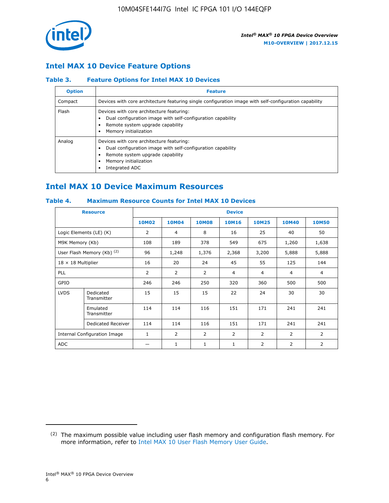

## **Intel MAX 10 Device Feature Options**

#### **Table 3. Feature Options for Intel MAX 10 Devices**

| <b>Option</b> | <b>Feature</b>                                                                                                                                                                          |
|---------------|-----------------------------------------------------------------------------------------------------------------------------------------------------------------------------------------|
| Compact       | Devices with core architecture featuring single configuration image with self-configuration capability                                                                                  |
| Flash         | Devices with core architecture featuring:<br>Dual configuration image with self-configuration capability<br>Remote system upgrade capability<br>Memory initialization                   |
| Analog        | Devices with core architecture featuring:<br>Dual configuration image with self-configuration capability<br>Remote system upgrade capability<br>Memory initialization<br>Integrated ADC |

## **Intel MAX 10 Device Maximum Resources**

#### **Table 4. Maximum Resource Counts for Intel MAX 10 Devices**

|                           | <b>Resource</b>                     |              |                |                | <b>Device</b>  |                |                |                |
|---------------------------|-------------------------------------|--------------|----------------|----------------|----------------|----------------|----------------|----------------|
|                           |                                     | <b>10M02</b> | 10M04          | <b>10M08</b>   | <b>10M16</b>   | <b>10M25</b>   | <b>10M40</b>   | <b>10M50</b>   |
|                           | Logic Elements (LE) (K)             | 2            | 4              | 8              | 16             | 25             | 40             | 50             |
| M9K Memory (Kb)           |                                     | 108          | 189            | 378            | 549            | 675            | 1,260          | 1,638          |
|                           | User Flash Memory (Kb) (2)          | 96           | 1,248          | 1,376          | 2,368          | 3,200          | 5,888          | 5,888          |
| $18 \times 18$ Multiplier |                                     | 16           | 20             | 24             | 45             | 55             | 125            | 144            |
| <b>PLL</b>                |                                     | 2            | $\overline{2}$ | $\overline{2}$ | $\overline{4}$ | $\overline{4}$ | 4              | $\overline{4}$ |
| GPIO                      |                                     | 246          | 246            | 250            | 320            | 360            | 500            | 500            |
| <b>LVDS</b>               | Dedicated<br>Transmitter            | 15           | 15             | 15             | 22             | 24             | 30             | 30             |
|                           | Emulated<br>Transmitter             | 114          | 114            | 116            | 151            | 171            | 241            | 241            |
|                           | Dedicated Receiver                  | 114          | 114            | 116            | 151            | 171            | 241            | 241            |
|                           | <b>Internal Configuration Image</b> | $\mathbf{1}$ | $\overline{2}$ | $\overline{2}$ | $\overline{2}$ | 2              | $\overline{2}$ | $\overline{2}$ |
| <b>ADC</b>                |                                     |              | 1              | $\mathbf{1}$   | $\mathbf{1}$   | 2              | 2              | 2              |

<sup>(2)</sup> The maximum possible value including user flash memory and configuration flash memory. For more information, refer to [Intel MAX 10 User Flash Memory User Guide](https://www.altera.com/documentation/vgo1395753117436.html#vgo1395811844282).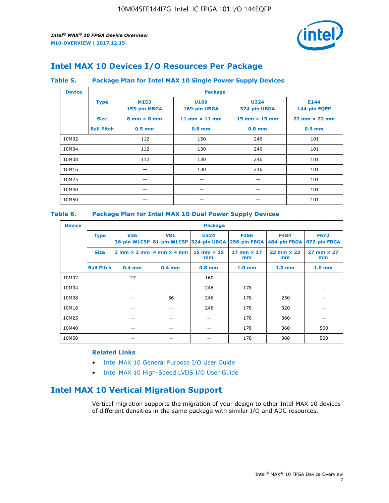

## **Intel MAX 10 Devices I/O Resources Per Package**

#### **Table 5. Package Plan for Intel MAX 10 Single Power Supply Devices**

| <b>Device</b> |                   | <b>Package</b>                     |                      |                                      |                                      |  |  |  |
|---------------|-------------------|------------------------------------|----------------------|--------------------------------------|--------------------------------------|--|--|--|
|               | <b>Type</b>       | M153<br>153-pin MBGA               | U169<br>169-pin UBGA | <b>U324</b><br>324-pin UBGA          | E144<br>144-pin EQFP                 |  |  |  |
|               | <b>Size</b>       | $8 \text{ mm} \times 8 \text{ mm}$ | 11 mm $\times$ 11 mm | $15 \text{ mm} \times 15 \text{ mm}$ | $22 \text{ mm} \times 22 \text{ mm}$ |  |  |  |
|               | <b>Ball Pitch</b> | $0.5$ mm                           | $0.8$ mm             | $0.8$ mm                             | $0.5$ mm                             |  |  |  |
| 10M02         |                   | 112                                | 130                  | 246                                  | 101                                  |  |  |  |
| 10M04         |                   | 112                                | 130                  | 246                                  | 101                                  |  |  |  |
| 10M08         |                   | 112                                | 130<br>246           |                                      | 101                                  |  |  |  |
| 10M16         |                   |                                    | 130                  | 246                                  |                                      |  |  |  |
| 10M25         |                   |                                    |                      |                                      | 101                                  |  |  |  |
| 10M40         |                   |                                    |                      |                                      | 101                                  |  |  |  |
| 10M50         |                   |                                    |                      |                                      | 101                                  |  |  |  |

#### **Table 6. Package Plan for Intel MAX 10 Dual Power Supply Devices**

| <b>Device</b> |                   | <b>Package</b> |                                            |                                                                    |                         |                           |                             |  |  |
|---------------|-------------------|----------------|--------------------------------------------|--------------------------------------------------------------------|-------------------------|---------------------------|-----------------------------|--|--|
|               | <b>Type</b>       | <b>V36</b>     | <b>V81</b>                                 | <b>U324</b><br>36-pin WLCSP 81-pin WLCSP 324-pin UBGA 256-pin FBGA | <b>F256</b>             | F484<br>484-pin FBGA      | <b>F672</b><br>672-pin FBGA |  |  |
|               | <b>Size</b>       |                | $3$ mm $\times$ 3 mm $ 4$ mm $\times$ 4 mm | $15$ mm $\times$ 15<br>mm                                          | 17 mm $\times$ 17<br>mm | $23$ mm $\times$ 23<br>mm | $27$ mm $\times$ 27<br>mm   |  |  |
|               | <b>Ball Pitch</b> | $0.4$ mm       | $0.4$ mm                                   | $0.8$ mm                                                           | 1.0 <sub>mm</sub>       | 1.0 <sub>mm</sub>         | 1.0 <sub>mm</sub>           |  |  |
| 10M02         |                   | 27             |                                            | 160                                                                |                         |                           |                             |  |  |
| 10M04         |                   |                |                                            | 246                                                                | 178                     |                           |                             |  |  |
| 10M08         |                   |                | 56                                         | 246                                                                | 178                     | 250                       |                             |  |  |
| 10M16         |                   |                |                                            | 246                                                                | 178                     | 320                       |                             |  |  |
| 10M25         |                   |                |                                            |                                                                    | 178                     | 360                       |                             |  |  |
| 10M40         |                   |                |                                            |                                                                    | 178                     | 360                       | 500                         |  |  |
| 10M50         |                   |                |                                            |                                                                    | 178                     | 360                       | 500                         |  |  |

#### **Related Links**

- [Intel MAX 10 General Purpose I/O User Guide](https://www.altera.com/documentation/sam1393999966669.html#sam1394000084476)
- [Intel MAX 10 High-Speed LVDS I/O User Guide](https://www.altera.com/documentation/sam1394433606063.html#sam1394433911642)

## **Intel MAX 10 Vertical Migration Support**

Vertical migration supports the migration of your design to other Intel MAX 10 devices of different densities in the same package with similar I/O and ADC resources.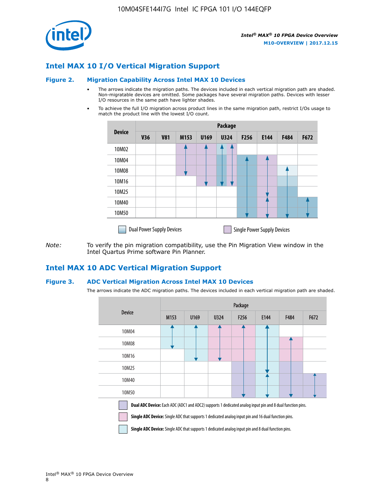

## **Intel MAX 10 I/O Vertical Migration Support**

#### **Figure 2. Migration Capability Across Intel MAX 10 Devices**

- The arrows indicate the migration paths. The devices included in each vertical migration path are shaded. Non-migratable devices are omitted. Some packages have several migration paths. Devices with lesser I/O resources in the same path have lighter shades.
- To achieve the full I/O migration across product lines in the same migration path, restrict I/Os usage to match the product line with the lowest I/O count.

|               | <b>Package</b>                   |            |      |      |             |      |                                    |      |      |
|---------------|----------------------------------|------------|------|------|-------------|------|------------------------------------|------|------|
| <b>Device</b> | <b>V36</b>                       | <b>V81</b> | M153 | U169 | <b>U324</b> | F256 | E144                               | F484 | F672 |
| 10M02         |                                  |            |      |      | 7           |      |                                    |      |      |
| 10M04         |                                  |            |      |      |             |      |                                    |      |      |
| 10M08         |                                  |            |      |      |             |      |                                    |      |      |
| 10M16         |                                  |            |      |      |             |      |                                    |      |      |
| 10M25         |                                  |            |      |      |             |      |                                    |      |      |
| 10M40         |                                  |            |      |      |             |      |                                    |      |      |
| 10M50         |                                  |            |      |      |             |      |                                    |      |      |
|               | <b>Dual Power Supply Devices</b> |            |      |      |             |      | <b>Single Power Supply Devices</b> |      |      |

*Note:* To verify the pin migration compatibility, use the Pin Migration View window in the Intel Quartus Prime software Pin Planner.

#### **Intel MAX 10 ADC Vertical Migration Support**

#### **Figure 3. ADC Vertical Migration Across Intel MAX 10 Devices**

The arrows indicate the ADC migration paths. The devices included in each vertical migration path are shaded.

|                                                                                                                                                                                                                         | Package |      |      |                  |      |      |      |  |
|-------------------------------------------------------------------------------------------------------------------------------------------------------------------------------------------------------------------------|---------|------|------|------------------|------|------|------|--|
| <b>Device</b>                                                                                                                                                                                                           | M153    | U169 | U324 | F <sub>256</sub> | E144 | F484 | F672 |  |
| 10M04                                                                                                                                                                                                                   |         |      |      |                  |      |      |      |  |
| 10M08                                                                                                                                                                                                                   |         |      |      |                  |      |      |      |  |
| 10M16                                                                                                                                                                                                                   |         |      |      |                  |      |      |      |  |
| 10M25                                                                                                                                                                                                                   |         |      |      |                  |      |      |      |  |
| 10M40                                                                                                                                                                                                                   |         |      |      |                  |      |      |      |  |
| 10M50                                                                                                                                                                                                                   |         |      |      |                  |      |      |      |  |
| Dual ADC Device: Each ADC (ADC1 and ADC2) supports 1 dedicated analog input pin and 8 dual function pins.<br><b>Single ADC Device:</b> Single ADC that supports 1 dedicated analog input pin and 16 dual function pins. |         |      |      |                  |      |      |      |  |

**Single ADC Device:** Single ADC that supports 1 dedicated analog input pin and 8 dual function pins.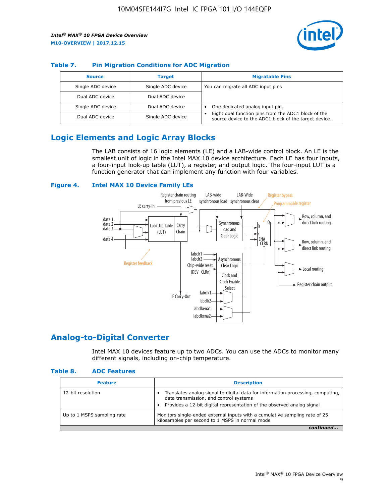

#### **Table 7. Pin Migration Conditions for ADC Migration**

| <b>Source</b>     | <b>Target</b>     | <b>Migratable Pins</b>                                                                                            |
|-------------------|-------------------|-------------------------------------------------------------------------------------------------------------------|
| Single ADC device | Single ADC device | You can migrate all ADC input pins                                                                                |
| Dual ADC device   | Dual ADC device   |                                                                                                                   |
| Single ADC device | Dual ADC device   | One dedicated analog input pin.                                                                                   |
| Dual ADC device   | Single ADC device | Eight dual function pins from the ADC1 block of the<br>٠<br>source device to the ADC1 block of the target device. |

## **Logic Elements and Logic Array Blocks**

The LAB consists of 16 logic elements (LE) and a LAB-wide control block. An LE is the smallest unit of logic in the Intel MAX 10 device architecture. Each LE has four inputs, a four-input look-up table (LUT), a register, and output logic. The four-input LUT is a function generator that can implement any function with four variables.

#### **Figure 4. Intel MAX 10 Device Family LEs**



## **Analog-to-Digital Converter**

Intel MAX 10 devices feature up to two ADCs. You can use the ADCs to monitor many different signals, including on-chip temperature.

#### **Table 8. ADC Features**

| <b>Feature</b>             | <b>Description</b>                                                                                                                                                                                  |
|----------------------------|-----------------------------------------------------------------------------------------------------------------------------------------------------------------------------------------------------|
| 12-bit resolution          | Translates analog signal to digital data for information processing, computing,<br>data transmission, and control systems<br>Provides a 12-bit digital representation of the observed analog signal |
| Up to 1 MSPS sampling rate | Monitors single-ended external inputs with a cumulative sampling rate of 25<br>kilosamples per second to 1 MSPS in normal mode                                                                      |
|                            |                                                                                                                                                                                                     |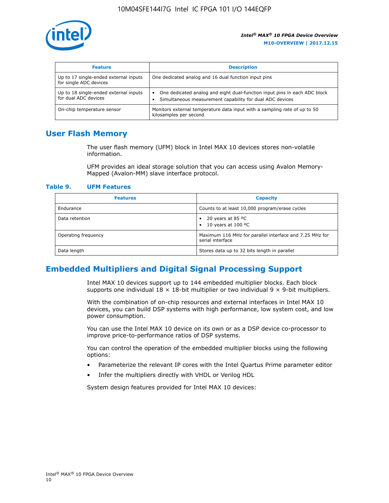

| <b>Feature</b>                                                  | <b>Description</b>                                                                                                                                 |
|-----------------------------------------------------------------|----------------------------------------------------------------------------------------------------------------------------------------------------|
| Up to 17 single-ended external inputs<br>for single ADC devices | One dedicated analog and 16 dual function input pins                                                                                               |
| Up to 18 single-ended external inputs<br>for dual ADC devices   | One dedicated analog and eight dual-function input pins in each ADC block<br>$\bullet$<br>Simultaneous measurement capability for dual ADC devices |
| On-chip temperature sensor                                      | Monitors external temperature data input with a sampling rate of up to 50<br>kilosamples per second                                                |

## **User Flash Memory**

The user flash memory (UFM) block in Intel MAX 10 devices stores non-volatile information.

UFM provides an ideal storage solution that you can access using Avalon Memory-Mapped (Avalon-MM) slave interface protocol.

#### **Table 9. UFM Features**

| <b>Features</b>     | <b>Capacity</b>                                                             |
|---------------------|-----------------------------------------------------------------------------|
| Endurance           | Counts to at least 10,000 program/erase cycles                              |
| Data retention      | 20 years at 85 $^{\circ}$ C<br>٠<br>10 years at 100 °C<br>$\bullet$         |
| Operating frequency | Maximum 116 MHz for parallel interface and 7.25 MHz for<br>serial interface |
| Data length         | Stores data up to 32 bits length in parallel                                |

## **Embedded Multipliers and Digital Signal Processing Support**

Intel MAX 10 devices support up to 144 embedded multiplier blocks. Each block supports one individual  $18 \times 18$ -bit multiplier or two individual  $9 \times 9$ -bit multipliers.

With the combination of on-chip resources and external interfaces in Intel MAX 10 devices, you can build DSP systems with high performance, low system cost, and low power consumption.

You can use the Intel MAX 10 device on its own or as a DSP device co-processor to improve price-to-performance ratios of DSP systems.

You can control the operation of the embedded multiplier blocks using the following options:

- Parameterize the relevant IP cores with the Intel Quartus Prime parameter editor
- Infer the multipliers directly with VHDL or Verilog HDL

System design features provided for Intel MAX 10 devices: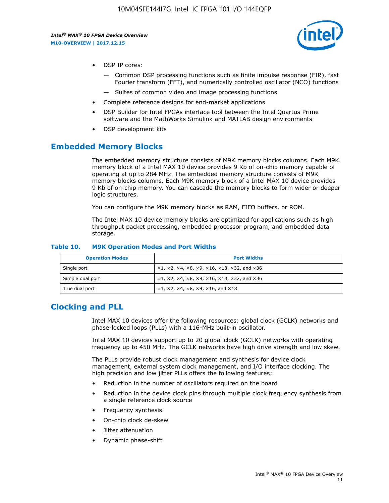

- DSP IP cores:
	- Common DSP processing functions such as finite impulse response (FIR), fast Fourier transform (FFT), and numerically controlled oscillator (NCO) functions
	- Suites of common video and image processing functions
- Complete reference designs for end-market applications
- DSP Builder for Intel FPGAs interface tool between the Intel Quartus Prime software and the MathWorks Simulink and MATLAB design environments
- DSP development kits

#### **Embedded Memory Blocks**

The embedded memory structure consists of M9K memory blocks columns. Each M9K memory block of a Intel MAX 10 device provides 9 Kb of on-chip memory capable of operating at up to 284 MHz. The embedded memory structure consists of M9K memory blocks columns. Each M9K memory block of a Intel MAX 10 device provides 9 Kb of on-chip memory. You can cascade the memory blocks to form wider or deeper logic structures.

You can configure the M9K memory blocks as RAM, FIFO buffers, or ROM.

The Intel MAX 10 device memory blocks are optimized for applications such as high throughput packet processing, embedded processor program, and embedded data storage.

| <b>Operation Modes</b> | <b>Port Widths</b>                                                            |
|------------------------|-------------------------------------------------------------------------------|
| Single port            | $x1, x2, x4, x8, x9, x16, x18, x32, and x36$                                  |
| Simple dual port       | $x1, x2, x4, x8, x9, x16, x18, x32, and x36$                                  |
| True dual port         | $\times1, \times2, \times4, \times8, \times9, \times16, \text{and } \times18$ |

#### **Table 10. M9K Operation Modes and Port Widths**

## **Clocking and PLL**

Intel MAX 10 devices offer the following resources: global clock (GCLK) networks and phase-locked loops (PLLs) with a 116-MHz built-in oscillator.

Intel MAX 10 devices support up to 20 global clock (GCLK) networks with operating frequency up to 450 MHz. The GCLK networks have high drive strength and low skew.

The PLLs provide robust clock management and synthesis for device clock management, external system clock management, and I/O interface clocking. The high precision and low jitter PLLs offers the following features:

- Reduction in the number of oscillators required on the board
- Reduction in the device clock pins through multiple clock frequency synthesis from a single reference clock source
- Frequency synthesis
- On-chip clock de-skew
- Jitter attenuation
- Dynamic phase-shift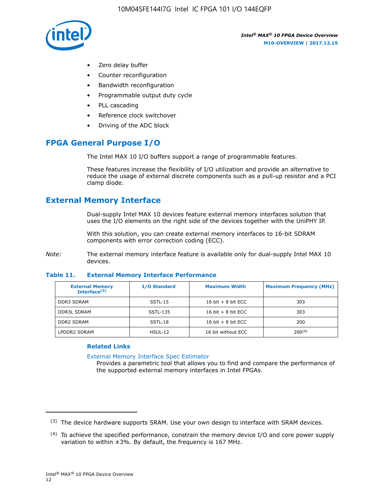

- Zero delay buffer
- Counter reconfiguration
- Bandwidth reconfiguration
- Programmable output duty cycle
- PLL cascading
- Reference clock switchover
- Driving of the ADC block

## **FPGA General Purpose I/O**

The Intel MAX 10 I/O buffers support a range of programmable features.

These features increase the flexibility of I/O utilization and provide an alternative to reduce the usage of external discrete components such as a pull-up resistor and a PCI clamp diode.

## **External Memory Interface**

Dual-supply Intel MAX 10 devices feature external memory interfaces solution that uses the I/O elements on the right side of the devices together with the UniPHY IP.

With this solution, you can create external memory interfaces to 16-bit SDRAM components with error correction coding (ECC).

*Note:* The external memory interface feature is available only for dual-supply Intel MAX 10 devices.

#### **Table 11. External Memory Interface Performance**

| <b>External Memory</b><br>Interface $(3)$ | <b>I/O Standard</b> | <b>Maximum Width</b> | <b>Maximum Frequency (MHz)</b> |
|-------------------------------------------|---------------------|----------------------|--------------------------------|
| <b>DDR3 SDRAM</b>                         | SSTL-15             | 16 bit $+8$ bit ECC  | 303                            |
| <b>DDR3L SDRAM</b>                        | SSTL-135            | 16 bit $+8$ bit ECC  | 303                            |
| <b>DDR2 SDRAM</b>                         | SSTL-18             | 16 bit $+8$ bit ECC  | 200                            |
| LPDDR2 SDRAM                              | $H$ SUL-12          | 16 bit without ECC   | $200^{(4)}$                    |

#### **Related Links**

[External Memory Interface Spec Estimator](http://www.altera.com/technology/memory/estimator/mem-emif-index.html)

Provides a parametric tool that allows you to find and compare the performance of the supported external memory interfaces in Intel FPGAs.

 $(3)$  The device hardware supports SRAM. Use your own design to interface with SRAM devices.

 $(4)$  To achieve the specified performance, constrain the memory device I/O and core power supply variation to within ±3%. By default, the frequency is 167 MHz.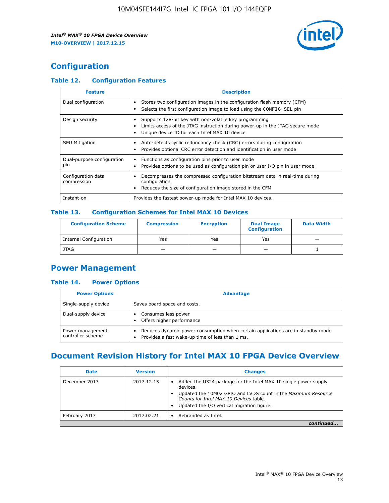

## **Configuration**

#### **Table 12. Configuration Features**

| <b>Feature</b>                    | <b>Description</b>                                                                                                                                                                       |  |
|-----------------------------------|------------------------------------------------------------------------------------------------------------------------------------------------------------------------------------------|--|
| Dual configuration                | Stores two configuration images in the configuration flash memory (CFM)<br>Selects the first configuration image to load using the CONFIG SEL pin                                        |  |
| Design security                   | Supports 128-bit key with non-volatile key programming<br>Limits access of the JTAG instruction during power-up in the JTAG secure mode<br>Unique device ID for each Intel MAX 10 device |  |
| <b>SEU Mitigation</b>             | Auto-detects cyclic redundancy check (CRC) errors during configuration<br>Provides optional CRC error detection and identification in user mode                                          |  |
| Dual-purpose configuration<br>pin | Functions as configuration pins prior to user mode<br>٠<br>Provides options to be used as configuration pin or user I/O pin in user mode                                                 |  |
| Configuration data<br>compression | Decompresses the compressed configuration bitstream data in real-time during<br>configuration<br>Reduces the size of configuration image stored in the CFM                               |  |
| Instant-on                        | Provides the fastest power-up mode for Intel MAX 10 devices.                                                                                                                             |  |

#### **Table 13. Configuration Schemes for Intel MAX 10 Devices**

| <b>Configuration Scheme</b>   | <b>Compression</b>       | <b>Encryption</b> | <b>Dual Image</b><br><b>Configuration</b> | <b>Data Width</b> |
|-------------------------------|--------------------------|-------------------|-------------------------------------------|-------------------|
| <b>Internal Configuration</b> | Yes                      | Yes               | Yes                                       |                   |
| <b>JTAG</b>                   | $\overline{\phantom{a}}$ |                   | -                                         |                   |

## **Power Management**

#### **Table 14. Power Options**

| <b>Power Options</b>                  | <b>Advantage</b>                                                                                                                                |  |
|---------------------------------------|-------------------------------------------------------------------------------------------------------------------------------------------------|--|
| Single-supply device                  | Saves board space and costs.                                                                                                                    |  |
| Dual-supply device                    | Consumes less power<br>Offers higher performance<br>$\bullet$                                                                                   |  |
| Power management<br>controller scheme | Reduces dynamic power consumption when certain applications are in standby mode<br>Provides a fast wake-up time of less than 1 ms.<br>$\bullet$ |  |

## **Document Revision History for Intel MAX 10 FPGA Device Overview**

| <b>Date</b>   | <b>Version</b> | <b>Changes</b>                                                                                                                                                                                                                       |
|---------------|----------------|--------------------------------------------------------------------------------------------------------------------------------------------------------------------------------------------------------------------------------------|
| December 2017 | 2017.12.15     | Added the U324 package for the Intel MAX 10 single power supply<br>devices.<br>Updated the 10M02 GPIO and LVDS count in the Maximum Resource<br>Counts for Intel MAX 10 Devices table.<br>Updated the I/O vertical migration figure. |
| February 2017 | 2017.02.21     | Rebranded as Intel.                                                                                                                                                                                                                  |
|               |                |                                                                                                                                                                                                                                      |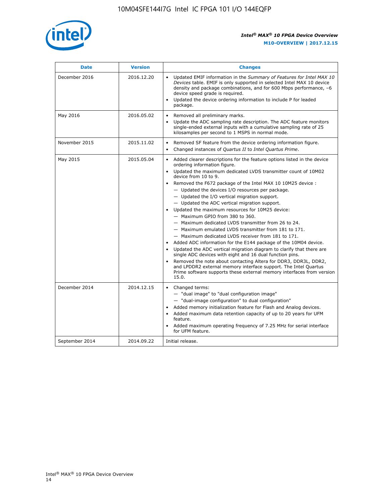

| <b>Date</b>    | <b>Version</b> | <b>Changes</b>                                                                                                                                                                                                                                                                                                                                                                                                                                                                                                                                                                                                                                                                                                                                                                                                                                                                                                                                                                                                                                                                                                                                                                         |
|----------------|----------------|----------------------------------------------------------------------------------------------------------------------------------------------------------------------------------------------------------------------------------------------------------------------------------------------------------------------------------------------------------------------------------------------------------------------------------------------------------------------------------------------------------------------------------------------------------------------------------------------------------------------------------------------------------------------------------------------------------------------------------------------------------------------------------------------------------------------------------------------------------------------------------------------------------------------------------------------------------------------------------------------------------------------------------------------------------------------------------------------------------------------------------------------------------------------------------------|
| December 2016  | 2016.12.20     | • Updated EMIF information in the Summary of Features for Intel MAX 10<br>Devices table. EMIF is only supported in selected Intel MAX 10 device<br>density and package combinations, and for 600 Mbps performance, -6<br>device speed grade is required.<br>Updated the device ordering information to include P for leaded<br>$\bullet$<br>package.                                                                                                                                                                                                                                                                                                                                                                                                                                                                                                                                                                                                                                                                                                                                                                                                                                   |
| May 2016       | 2016.05.02     | Removed all preliminary marks.<br>Update the ADC sampling rate description. The ADC feature monitors<br>$\bullet$<br>single-ended external inputs with a cumulative sampling rate of 25<br>kilosamples per second to 1 MSPS in normal mode.                                                                                                                                                                                                                                                                                                                                                                                                                                                                                                                                                                                                                                                                                                                                                                                                                                                                                                                                            |
| November 2015  | 2015.11.02     | Removed SF feature from the device ordering information figure.<br>$\bullet$<br>Changed instances of Quartus II to Intel Quartus Prime.<br>$\bullet$                                                                                                                                                                                                                                                                                                                                                                                                                                                                                                                                                                                                                                                                                                                                                                                                                                                                                                                                                                                                                                   |
| May 2015       | 2015.05.04     | Added clearer descriptions for the feature options listed in the device<br>$\bullet$<br>ordering information figure.<br>• Updated the maximum dedicated LVDS transmitter count of 10M02<br>device from 10 to 9.<br>• Removed the F672 package of the Intel MAX 10 10M25 device :<br>- Updated the devices I/O resources per package.<br>$-$ Updated the I/O vertical migration support.<br>- Updated the ADC vertical migration support.<br>Updated the maximum resources for 10M25 device:<br>$\bullet$<br>- Maximum GPIO from 380 to 360.<br>- Maximum dedicated LVDS transmitter from 26 to 24.<br>- Maximum emulated LVDS transmitter from 181 to 171.<br>- Maximum dedicated LVDS receiver from 181 to 171.<br>Added ADC information for the E144 package of the 10M04 device.<br>$\bullet$<br>Updated the ADC vertical migration diagram to clarify that there are<br>$\bullet$<br>single ADC devices with eight and 16 dual function pins.<br>Removed the note about contacting Altera for DDR3, DDR3L, DDR2,<br>$\bullet$<br>and LPDDR2 external memory interface support. The Intel Quartus<br>Prime software supports these external memory interfaces from version<br>15.0. |
| December 2014  | 2014.12.15     | • Changed terms:<br>- "dual image" to "dual configuration image"<br>- "dual-image configuration" to dual configuration"<br>• Added memory initialization feature for Flash and Analog devices.<br>• Added maximum data retention capacity of up to 20 years for UFM<br>feature.<br>Added maximum operating frequency of 7.25 MHz for serial interface<br>$\bullet$<br>for UFM feature.                                                                                                                                                                                                                                                                                                                                                                                                                                                                                                                                                                                                                                                                                                                                                                                                 |
| September 2014 | 2014.09.22     | Initial release.                                                                                                                                                                                                                                                                                                                                                                                                                                                                                                                                                                                                                                                                                                                                                                                                                                                                                                                                                                                                                                                                                                                                                                       |